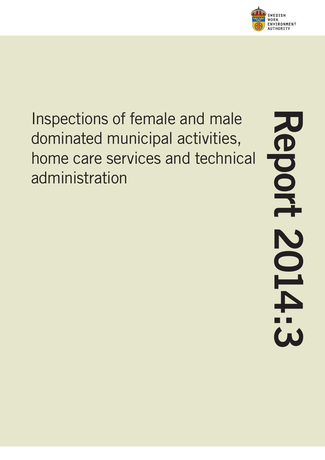

Inspections of female and male dominated municipal activities, home care services and technical administration

**Report 2014:3**Report **SOIPES**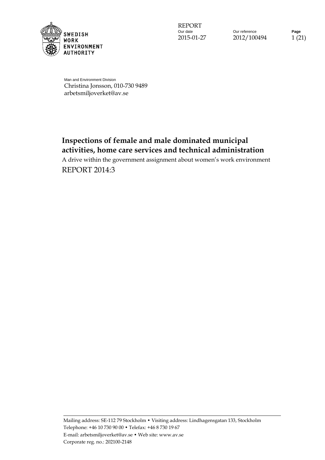

Our reference **Page** 2015-01-27 2012/100494 1 (21)

Man and Environment Division Christina Jonsson, 010-730 9489 arbetsmiljoverket@av.se

# **Inspections of female and male dominated municipal activities, home care services and technical administration**

A drive within the government assignment about women's work environment REPORT 2014:3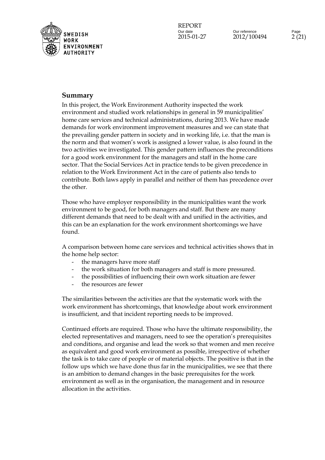

## **Summary**

In this project, the Work Environment Authority inspected the work environment and studied work relationships in general in 59 municipalities' home care services and technical administrations, during 2013. We have made demands for work environment improvement measures and we can state that the prevailing gender pattern in society and in working life, i.e. that the man is the norm and that women's work is assigned a lower value, is also found in the two activities we investigated. This gender pattern influences the preconditions for a good work environment for the managers and staff in the home care sector. That the Social Services Act in practice tends to be given precedence in relation to the Work Environment Act in the care of patients also tends to contribute. Both laws apply in parallel and neither of them has precedence over the other.

Those who have employer responsibility in the municipalities want the work environment to be good, for both managers and staff. But there are many different demands that need to be dealt with and unified in the activities, and this can be an explanation for the work environment shortcomings we have found.

A comparison between home care services and technical activities shows that in the home help sector:

- the managers have more staff
- the work situation for both managers and staff is more pressured.
- the possibilities of influencing their own work situation are fewer
- the resources are fewer

The similarities between the activities are that the systematic work with the work environment has shortcomings, that knowledge about work environment is insufficient, and that incident reporting needs to be improved.

Continued efforts are required. Those who have the ultimate responsibility, the elected representatives and managers, need to see the operation's prerequisites and conditions, and organise and lead the work so that women and men receive as equivalent and good work environment as possible, irrespective of whether the task is to take care of people or of material objects. The positive is that in the follow ups which we have done thus far in the municipalities, we see that there is an ambition to demand changes in the basic prerequisites for the work environment as well as in the organisation, the management and in resource allocation in the activities.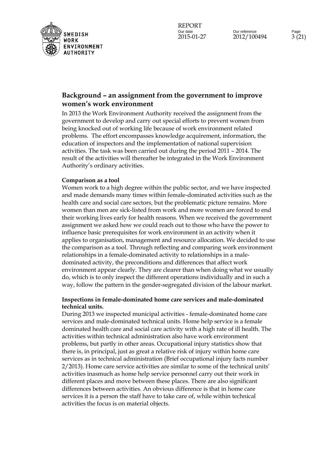

## **Background – an assignment from the government to improve women's work environment**

In 2013 the Work Environment Authority received the assignment from the government to develop and carry out special efforts to prevent women from being knocked out of working life because of work environment related problems. The effort encompasses knowledge acquirement, information, the education of inspectors and the implementation of national supervision activities. The task was been carried out during the period 2011 – 2014. The result of the activities will thereafter be integrated in the Work Environment Authority's ordinary activities.

#### **Comparison as a tool**

Women work to a high degree within the public sector, and we have inspected and made demands many times within female-dominated activities such as the health care and social care sectors, but the problematic picture remains. More women than men are sick-listed from work and more women are forced to end their working lives early for health reasons. When we received the government assignment we asked how we could reach out to those who have the power to influence basic prerequisites for work environment in an activity when it applies to organisation, management and resource allocation. We decided to use the comparison as a tool. Through reflecting and comparing work environment relationships in a female-dominated activity to relationships in a maledominated activity, the preconditions and differences that affect work environment appear clearly. They are clearer than when doing what we usually do, which is to only inspect the different operations individually and in such a way, follow the pattern in the gender-segregated division of the labour market.

### **Inspections in female-dominated home care services and male-dominated technical units.**

During 2013 we inspected municipal activities - female-dominated home care services and male-dominated technical units. Home help service is a female dominated health care and social care activity with a high rate of ill health. The activities within technical administration also have work environment problems, but partly in other areas. Occupational injury statistics show that there is, in principal, just as great a relative risk of injury within home care services as in technical administration (Brief occupational injury facts number 2/2013). Home care service activities are similar to some of the technical units' activities inasmuch as home help service personnel carry out their work in different places and move between these places. There are also significant differences between activities. An obvious difference is that in home care services it is a person the staff have to take care of, while within technical activities the focus is on material objects.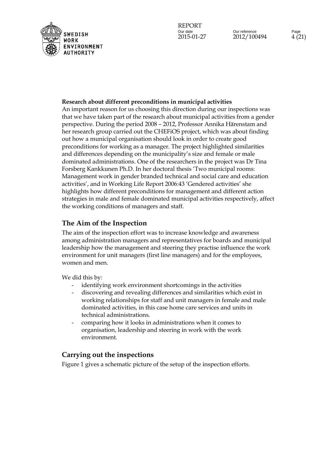

#### **Research about different preconditions in municipal activities**

An important reason for us choosing this direction during our inspections was that we have taken part of the research about municipal activities from a gender perspective. During the period 2008 – 2012, Professor Annika Härenstam and her research group carried out the CHEFiOS project, which was about finding out how a municipal organisation should look in order to create good preconditions for working as a manager. The project highlighted similarities and differences depending on the municipality's size and female or male dominated administrations. One of the researchers in the project was Dr Tina Forsberg Kankkunen Ph.D. In her doctoral thesis 'Two municipal rooms: Management work in gender branded technical and social care and education activities', and in Working Life Report 2006:43 'Gendered activities' she highlights how different preconditions for management and different action strategies in male and female dominated municipal activities respectively, affect the working conditions of managers and staff.

### **The Aim of the Inspection**

The aim of the inspection effort was to increase knowledge and awareness among administration managers and representatives for boards and municipal leadership how the management and steering they practise influence the work environment for unit managers (first line managers) and for the employees, women and men.

We did this by:

- identifying work environment shortcomings in the activities
- discovering and revealing differences and similarities which exist in working relationships for staff and unit managers in female and male dominated activities, in this case home care services and units in technical administrations.
- comparing how it looks in administrations when it comes to organisation, leadership and steering in work with the work environment.

## **Carrying out the inspections**

Figure 1 gives a schematic picture of the setup of the inspection efforts.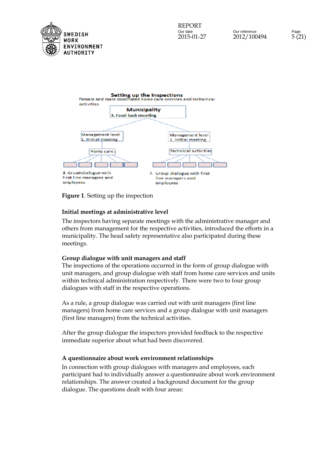



### **Figure 1**. Setting up the inspection

### **Initial meetings at administrative level**

The inspectors having separate meetings with the administrative manager and others from management for the respective activities, introduced the efforts in a municipality. The head safety representative also participated during these meetings.

#### **Group dialogue with unit managers and staff**

The inspections of the operations occurred in the form of group dialogue with unit managers, and group dialogue with staff from home care services and units within technical administration respectively. There were two to four group dialogues with staff in the respective operations.

As a rule, a group dialogue was carried out with unit managers (first line managers) from home care services and a group dialogue with unit managers (first line managers) from the technical activities.

After the group dialogue the inspectors provided feedback to the respective immediate superior about what had been discovered.

### **A questionnaire about work environment relationships**

In connection with group dialogues with managers and employees, each participant had to individually answer a questionnaire about work environment relationships. The answer created a background document for the group dialogue. The questions dealt with four areas: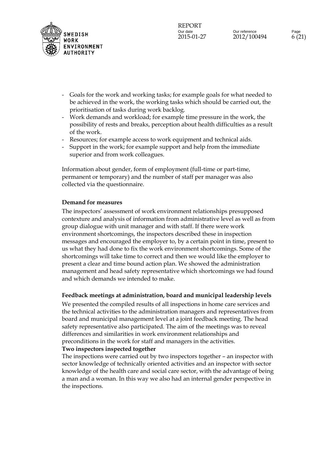

- Goals for the work and working tasks; for example goals for what needed to be achieved in the work, the working tasks which should be carried out, the prioritisation of tasks during work backlog.
- Work demands and workload; for example time pressure in the work, the possibility of rests and breaks, perception about health difficulties as a result of the work.
- Resources; for example access to work equipment and technical aids.
- Support in the work; for example support and help from the immediate superior and from work colleagues.

Information about gender, form of employment (full-time or part-time, permanent or temporary) and the number of staff per manager was also collected via the questionnaire.

### **Demand for measures**

The inspectors' assessment of work environment relationships presupposed contexture and analysis of information from administrative level as well as from group dialogue with unit manager and with staff. If there were work environment shortcomings, the inspectors described these in inspection messages and encouraged the employer to, by a certain point in time, present to us what they had done to fix the work environment shortcomings. Some of the shortcomings will take time to correct and then we would like the employer to present a clear and time bound action plan. We showed the administration management and head safety representative which shortcomings we had found and which demands we intended to make.

### **Feedback meetings at administration, board and municipal leadership levels**

We presented the compiled results of all inspections in home care services and the technical activities to the administration managers and representatives from board and municipal management level at a joint feedback meeting. The head safety representative also participated. The aim of the meetings was to reveal differences and similarities in work environment relationships and preconditions in the work for staff and managers in the activities.

#### **Two inspectors inspected together**

The inspections were carried out by two inspectors together – an inspector with sector knowledge of technically oriented activities and an inspector with sector knowledge of the health care and social care sector, with the advantage of being a man and a woman. In this way we also had an internal gender perspective in the inspections.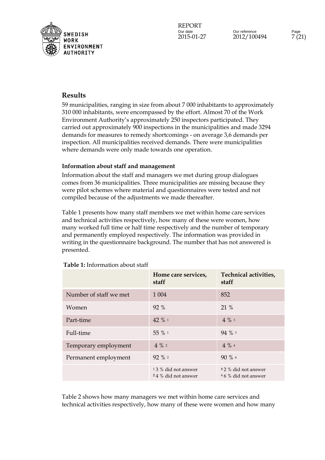

## **Results**

59 municipalities, ranging in size from about 7 000 inhabitants to approximately 310 000 inhabitants, were encompassed by the effort. Almost 70 of the Work Environment Authority's approximately 250 inspectors participated. They carried out approximately 900 inspections in the municipalities and made 3294 demands for measures to remedy shortcomings - on average 3,6 demands per inspection. All municipalities received demands. There were municipalities where demands were only made towards one operation.

### **Information about staff and management**

Information about the staff and managers we met during group dialogues comes from 36 municipalities. Three municipalities are missing because they were pilot schemes where material and questionnaires were tested and not compiled because of the adjustments we made thereafter.

Table 1 presents how many staff members we met within home care services and technical activities respectively, how many of these were women, how many worked full time or half time respectively and the number of temporary and permanently employed respectively. The information was provided in writing in the questionnaire background. The number that has not answered is presented.

|                        | Home care services,<br>staff               | Technical activities,<br>staff              |
|------------------------|--------------------------------------------|---------------------------------------------|
| Number of staff we met | 1 0 0 4                                    | 852                                         |
| Women                  | 92 %                                       | 21 %                                        |
| Part-time              | 42 % 1                                     | $4\%$ 3                                     |
| Full-time              | 55 % 1                                     | 94 % 3                                      |
| Temporary employment   | $4\%$ 2                                    | $4\%4$                                      |
| Permanent employment   | $92 \%$ 2                                  | $90\%$ 4                                    |
|                        | 13 % did not answer<br>24 % did not answer | 3 2 % did not answer<br>46 % did not answer |

#### **Table 1:** Information about staff

Table 2 shows how many managers we met within home care services and technical activities respectively, how many of these were women and how many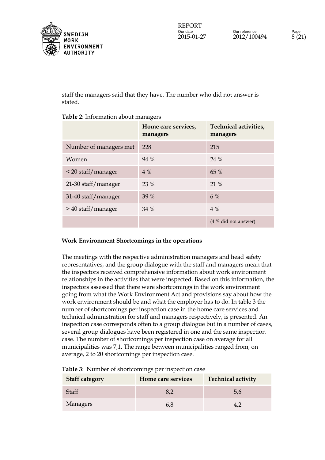

staff the managers said that they have. The number who did not answer is stated.

|                        | Home care services,<br>managers | Technical activities,<br>managers |
|------------------------|---------------------------------|-----------------------------------|
| Number of managers met | 228                             | 215                               |
| Women                  | 94 %                            | 24 %                              |
| < 20 staff/manager     | $4\%$                           | 65 %                              |
| 21-30 staff/manager    | 23 %                            | 21 %                              |
| 31-40 staff/manager    | 39 %                            | $6\%$                             |
| > 40 staff/manager     | 34 %                            | $4\%$                             |
|                        |                                 | (4 % did not answer)              |

### **Table 2**: Information about managers

#### **Work Environment Shortcomings in the operations**

The meetings with the respective administration managers and head safety representatives, and the group dialogue with the staff and managers mean that the inspectors received comprehensive information about work environment relationships in the activities that were inspected. Based on this information, the inspectors assessed that there were shortcomings in the work environment going from what the Work Environment Act and provisions say about how the work environment should be and what the employer has to do. In table 3 the number of shortcomings per inspection case in the home care services and technical administration for staff and managers respectively, is presented. An inspection case corresponds often to a group dialogue but in a number of cases, several group dialogues have been registered in one and the same inspection case. The number of shortcomings per inspection case on average for all municipalities was 7,1. The range between municipalities ranged from, on average, 2 to 20 shortcomings per inspection case.

| <b>Staff category</b> | Home care services | <b>Technical activity</b> |
|-----------------------|--------------------|---------------------------|
| Staff                 |                    | 5,6                       |
| Managers              | 6.8                |                           |

#### **Table 3**: Number of shortcomings per inspection case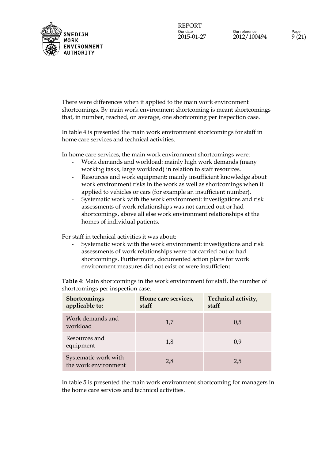

There were differences when it applied to the main work environment shortcomings. By main work environment shortcoming is meant shortcomings that, in number, reached, on average, one shortcoming per inspection case.

In table 4 is presented the main work environment shortcomings for staff in home care services and technical activities.

In home care services, the main work environment shortcomings were:

- Work demands and workload: mainly high work demands (many working tasks, large workload) in relation to staff resources.
- Resources and work equipment: mainly insufficient knowledge about work environment risks in the work as well as shortcomings when it applied to vehicles or cars (for example an insufficient number).
- Systematic work with the work environment: investigations and risk assessments of work relationships was not carried out or had shortcomings, above all else work environment relationships at the homes of individual patients.

For staff in technical activities it was about:

- Systematic work with the work environment: investigations and risk assessments of work relationships were not carried out or had shortcomings. Furthermore, documented action plans for work environment measures did not exist or were insufficient.

**Table 4**: Main shortcomings in the work environment for staff, the number of shortcomings per inspection case.

| <b>Shortcomings</b><br>applicable to:        | Home care services,<br>staff | Technical activity,<br>staff |
|----------------------------------------------|------------------------------|------------------------------|
| Work demands and<br>workload                 | 1,7                          | 0.5                          |
| Resources and<br>equipment                   | 1,8                          | 0.9                          |
| Systematic work with<br>the work environment | 2,8                          | 2,5                          |

In table 5 is presented the main work environment shortcoming for managers in the home care services and technical activities.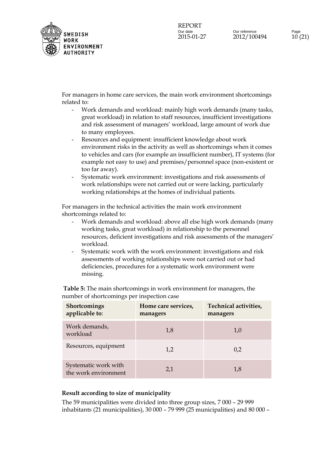

For managers in home care services, the main work environment shortcomings related to:

- Work demands and workload: mainly high work demands (many tasks, great workload) in relation to staff resources, insufficient investigations and risk assessment of managers' workload, large amount of work due to many employees.
- Resources and equipment: insufficient knowledge about work environment risks in the activity as well as shortcomings when it comes to vehicles and cars (for example an insufficient number), IT systems (for example not easy to use) and premises/personnel space (non-existent or too far away).
- Systematic work environment: investigations and risk assessments of work relationships were not carried out or were lacking, particularly working relationships at the homes of individual patients.

For managers in the technical activities the main work environment shortcomings related to:

- Work demands and workload: above all else high work demands (many working tasks, great workload) in relationship to the personnel resources, deficient investigations and risk assessments of the managers' workload.
- Systematic work with the work environment: investigations and risk assessments of working relationships were not carried out or had deficiencies, procedures for a systematic work environment were missing.

**Shortcomings applicable to**: **Home care services, managers Technical activities, managers** Work demands, workload  $1,8$  1,0  $Resources, equipment$   $1,2$  0,2 Systematic work with  $\frac{1}{8}$  the work environment 2,1 1,8

**Table 5:** The main shortcomings in work environment for managers, the number of shortcomings per inspection case

#### **Result according to size of municipality**

The 59 municipalities were divided into three group sizes, 7 000 – 29 999 inhabitants (21 municipalities), 30 000 – 79 999 (25 municipalities) and 80 000 –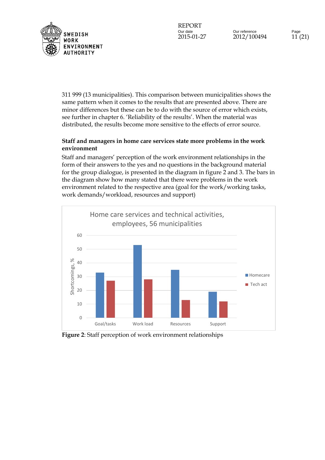

Our reference Page 2015-01-27 2012/100494 11 (21)

311 999 (13 municipalities). This comparison between municipalities shows the same pattern when it comes to the results that are presented above. There are minor differences but these can be to do with the source of error which exists, see further in chapter 6. 'Reliability of the results'. When the material was distributed, the results become more sensitive to the effects of error source.

### **Staff and managers in home care services state more problems in the work environment**

Staff and managers' perception of the work environment relationships in the form of their answers to the yes and no questions in the background material for the group dialogue, is presented in the diagram in figure 2 and 3. The bars in the diagram show how many stated that there were problems in the work environment related to the respective area (goal for the work/working tasks, work demands/workload, resources and support)



**Figure 2**: Staff perception of work environment relationships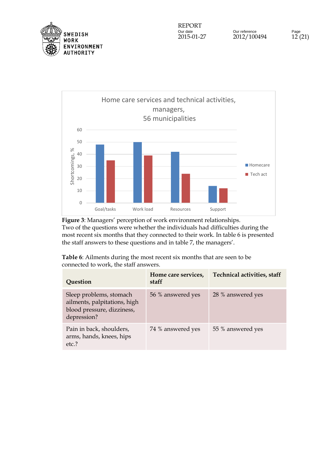



**Figure 3**: Managers' perception of work environment relationships. Two of the questions were whether the individuals had difficulties during the most recent six months that they connected to their work. In table 6 is presented the staff answers to these questions and in table 7, the managers'.

**Table 6**: Ailments during the most recent six months that are seen to be connected to work, the staff answers.

| Question                                                                                             | Home care services,<br>staff | <b>Technical activities, staff</b> |
|------------------------------------------------------------------------------------------------------|------------------------------|------------------------------------|
| Sleep problems, stomach<br>ailments, palpitations, high<br>blood pressure, dizziness,<br>depression? | 56 % answered yes            | 28 % answered yes                  |
| Pain in back, shoulders,<br>arms, hands, knees, hips<br>etc.?                                        | 74 % answered yes            | 55 % answered yes                  |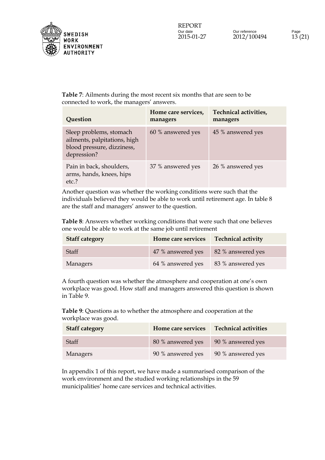

**Table 7**: Ailments during the most recent six months that are seen to be connected to work, the managers' answers.

| Question                                                                                             | Home care services,<br>managers | Technical activities,<br>managers |
|------------------------------------------------------------------------------------------------------|---------------------------------|-----------------------------------|
| Sleep problems, stomach<br>ailments, palpitations, high<br>blood pressure, dizziness,<br>depression? | 60 % answered yes               | 45 % answered yes                 |
| Pain in back, shoulders,<br>arms, hands, knees, hips<br>etc.?                                        | 37 % answered yes               | 26 % answered yes                 |

Another question was whether the working conditions were such that the individuals believed they would be able to work until retirement age. In table 8 are the staff and managers' answer to the question.

**Table 8**: Answers whether working conditions that were such that one believes one would be able to work at the same job until retirement

| <b>Staff category</b> | Home care services                    | <b>Technical activity</b> |
|-----------------------|---------------------------------------|---------------------------|
| Staff                 | 47 % answered yes   82 % answered yes |                           |
| Managers              | 64 % answered yes                     | 83 % answered yes         |

A fourth question was whether the atmosphere and cooperation at one's own workplace was good. How staff and managers answered this question is shown in Table 9.

**Table 9**: Questions as to whether the atmosphere and cooperation at the workplace was good.

| <b>Staff category</b> | Home care services | <b>Technical activities</b> |
|-----------------------|--------------------|-----------------------------|
| Staff                 | 80 % answered yes  | 90 % answered yes           |
| Managers              | 90 % answered yes  | 90 % answered yes           |

In appendix 1 of this report, we have made a summarised comparison of the work environment and the studied working relationships in the 59 municipalities' home care services and technical activities.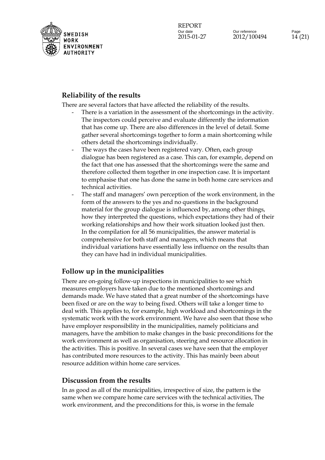

## **Reliability of the results**

There are several factors that have affected the reliability of the results.

- There is a variation in the assessment of the shortcomings in the activity. The inspectors could perceive and evaluate differently the information that has come up. There are also differences in the level of detail. Some gather several shortcomings together to form a main shortcoming while others detail the shortcomings individually.
- The ways the cases have been registered vary. Often, each group dialogue has been registered as a case. This can, for example, depend on the fact that one has assessed that the shortcomings were the same and therefore collected them together in one inspection case. It is important to emphasise that one has done the same in both home care services and technical activities.
- The staff and managers' own perception of the work environment, in the form of the answers to the yes and no questions in the background material for the group dialogue is influenced by, among other things, how they interpreted the questions, which expectations they had of their working relationships and how their work situation looked just then. In the compilation for all 56 municipalities, the answer material is comprehensive for both staff and managers, which means that individual variations have essentially less influence on the results than they can have had in individual municipalities.

# **Follow up in the municipalities**

There are on-going follow-up inspections in municipalities to see which measures employers have taken due to the mentioned shortcomings and demands made. We have stated that a great number of the shortcomings have been fixed or are on the way to being fixed. Others will take a longer time to deal with. This applies to, for example, high workload and shortcomings in the systematic work with the work environment. We have also seen that those who have employer responsibility in the municipalities, namely politicians and managers, have the ambition to make changes in the basic preconditions for the work environment as well as organisation, steering and resource allocation in the activities. This is positive. In several cases we have seen that the employer has contributed more resources to the activity. This has mainly been about resource addition within home care services.

# **Discussion from the results**

In as good as all of the municipalities, irrespective of size, the pattern is the same when we compare home care services with the technical activities, The work environment, and the preconditions for this, is worse in the female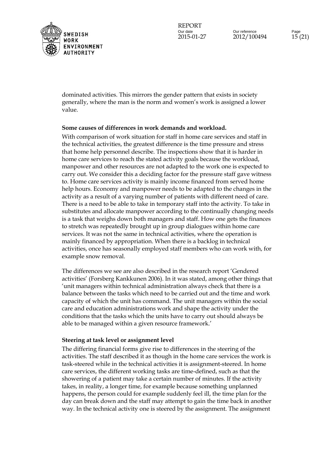

Our reference Page 2015-01-27 2012/100494 15 (21)

dominated activities. This mirrors the gender pattern that exists in society generally, where the man is the norm and women's work is assigned a lower value.

#### **Some causes of differences in work demands and workload.**

With comparison of work situation for staff in home care services and staff in the technical activities, the greatest difference is the time pressure and stress that home help personnel describe. The inspections show that it is harder in home care services to reach the stated activity goals because the workload, manpower and other resources are not adapted to the work one is expected to carry out. We consider this a deciding factor for the pressure staff gave witness to. Home care services activity is mainly income financed from served home help hours. Economy and manpower needs to be adapted to the changes in the activity as a result of a varying number of patients with different need of care. There is a need to be able to take in temporary staff into the activity. To take in substitutes and allocate manpower according to the continually changing needs is a task that weighs down both managers and staff. How one gets the finances to stretch was repeatedly brought up in group dialogues within home care services. It was not the same in technical activities, where the operation is mainly financed by appropriation. When there is a backlog in technical activities, once has seasonally employed staff members who can work with, for example snow removal.

The differences we see are also described in the research report 'Gendered activities' (Forsberg Kankkunen 2006). In it was stated, among other things that 'unit managers within technical administration always check that there is a balance between the tasks which need to be carried out and the time and work capacity of which the unit has command. The unit managers within the social care and education administrations work and shape the activity under the conditions that the tasks which the units have to carry out should always be able to be managed within a given resource framework.'

#### **Steering at task level or assignment level**

The differing financial forms give rise to differences in the steering of the activities. The staff described it as though in the home care services the work is task-steered while in the technical activities it is assignment-steered. In home care services, the different working tasks are time-defined, such as that the showering of a patient may take a certain number of minutes. If the activity takes, in reality, a longer time, for example because something unplanned happens, the person could for example suddenly feel ill, the time plan for the day can break down and the staff may attempt to gain the time back in another way. In the technical activity one is steered by the assignment. The assignment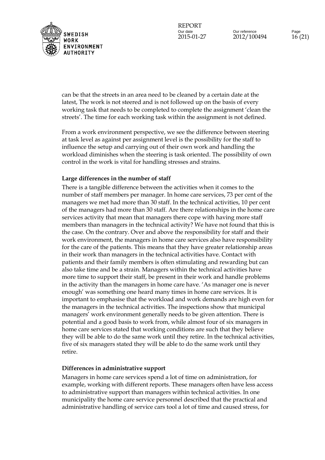

Our reference Page 2015-01-27 2012/100494 16 (21)

can be that the streets in an area need to be cleaned by a certain date at the latest, The work is not steered and is not followed up on the basis of every working task that needs to be completed to complete the assignment 'clean the streets'. The time for each working task within the assignment is not defined.

From a work environment perspective, we see the difference between steering at task level as against per assignment level is the possibility for the staff to influence the setup and carrying out of their own work and handling the workload diminishes when the steering is task oriented. The possibility of own control in the work is vital for handling stresses and strains.

#### **Large differences in the number of staff**

There is a tangible difference between the activities when it comes to the number of staff members per manager. In home care services, 73 per cent of the managers we met had more than 30 staff. In the technical activities, 10 per cent of the managers had more than 30 staff. Are there relationships in the home care services activity that mean that managers there cope with having more staff members than managers in the technical activity? We have not found that this is the case. On the contrary. Over and above the responsibility for staff and their work environment, the managers in home care services also have responsibility for the care of the patients. This means that they have greater relationship areas in their work than managers in the technical activities have. Contact with patients and their family members is often stimulating and rewarding but can also take time and be a strain. Managers within the technical activities have more time to support their staff, be present in their work and handle problems in the activity than the managers in home care have. 'As manager one is never enough' was something one heard many times in home care services. It is important to emphasise that the workload and work demands are high even for the managers in the technical activities. The inspections show that municipal managers' work environment generally needs to be given attention. There is potential and a good basis to work from, while almost four of six managers in home care services stated that working conditions are such that they believe they will be able to do the same work until they retire. In the technical activities, five of six managers stated they will be able to do the same work until they retire.

#### **Differences in administrative support**

Managers in home care services spend a lot of time on administration, for example, working with different reports. These managers often have less access to administrative support than managers within technical activities. In one municipality the home care service personnel described that the practical and administrative handling of service cars tool a lot of time and caused stress, for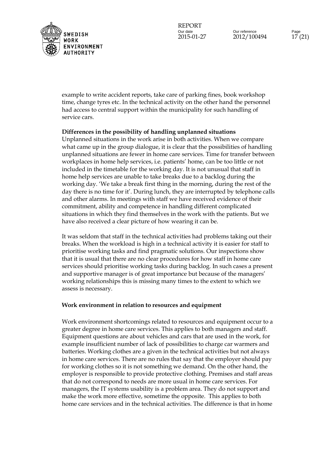

Our reference Page 2015-01-27 2012/100494 17 (21)

example to write accident reports, take care of parking fines, book workshop time, change tyres etc. In the technical activity on the other hand the personnel had access to central support within the municipality for such handling of service cars.

#### **Differences in the possibility of handling unplanned situations**

Unplanned situations in the work arise in both activities. When we compare what came up in the group dialogue, it is clear that the possibilities of handling unplanned situations are fewer in home care services. Time for transfer between workplaces in home help services, i.e. patients' home, can be too little or not included in the timetable for the working day. It is not unusual that staff in home help services are unable to take breaks due to a backlog during the working day. 'We take a break first thing in the morning, during the rest of the day there is no time for it'. During lunch, they are interrupted by telephone calls and other alarms. In meetings with staff we have received evidence of their commitment, ability and competence in handling different complicated situations in which they find themselves in the work with the patients. But we have also received a clear picture of how wearing it can be.

It was seldom that staff in the technical activities had problems taking out their breaks. When the workload is high in a technical activity it is easier for staff to prioritise working tasks and find pragmatic solutions. Our inspections show that it is usual that there are no clear procedures for how staff in home care services should prioritise working tasks during backlog. In such cases a present and supportive manager is of great importance but because of the managers' working relationships this is missing many times to the extent to which we assess is necessary.

#### **Work environment in relation to resources and equipment**

Work environment shortcomings related to resources and equipment occur to a greater degree in home care services. This applies to both managers and staff. Equipment questions are about vehicles and cars that are used in the work, for example insufficient number of lack of possibilities to charge car warmers and batteries. Working clothes are a given in the technical activities but not always in home care services. There are no rules that say that the employer should pay for working clothes so it is not something we demand. On the other hand, the employer is responsible to provide protective clothing. Premises and staff areas that do not correspond to needs are more usual in home care services. For managers, the IT systems usability is a problem area. They do not support and make the work more effective, sometime the opposite. This applies to both home care services and in the technical activities. The difference is that in home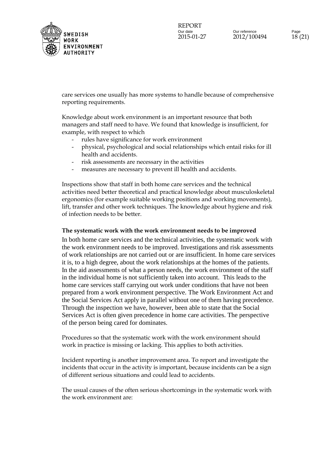

care services one usually has more systems to handle because of comprehensive reporting requirements.

Knowledge about work environment is an important resource that both managers and staff need to have. We found that knowledge is insufficient, for example, with respect to which

- rules have significance for work environment
- physical, psychological and social relationships which entail risks for ill health and accidents.
- risk assessments are necessary in the activities
- measures are necessary to prevent ill health and accidents.

Inspections show that staff in both home care services and the technical activities need better theoretical and practical knowledge about musculoskeletal ergonomics (for example suitable working positions and working movements), lift, transfer and other work techniques. The knowledge about hygiene and risk of infection needs to be better.

#### **The systematic work with the work environment needs to be improved**

In both home care services and the technical activities, the systematic work with the work environment needs to be improved. Investigations and risk assessments of work relationships are not carried out or are insufficient. In home care services it is, to a high degree, about the work relationships at the homes of the patients. In the aid assessments of what a person needs, the work environment of the staff in the individual home is not sufficiently taken into account. This leads to the home care services staff carrying out work under conditions that have not been prepared from a work environment perspective. The Work Environment Act and the Social Services Act apply in parallel without one of them having precedence. Through the inspection we have, however, been able to state that the Social Services Act is often given precedence in home care activities. The perspective of the person being cared for dominates.

Procedures so that the systematic work with the work environment should work in practice is missing or lacking. This applies to both activities.

Incident reporting is another improvement area. To report and investigate the incidents that occur in the activity is important, because incidents can be a sign of different serious situations and could lead to accidents.

The usual causes of the often serious shortcomings in the systematic work with the work environment are: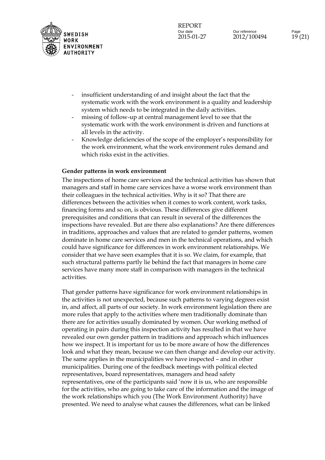

- insufficient understanding of and insight about the fact that the systematic work with the work environment is a quality and leadership system which needs to be integrated in the daily activities.
- missing of follow-up at central management level to see that the systematic work with the work environment is driven and functions at all levels in the activity.
- Knowledge deficiencies of the scope of the employer's responsibility for the work environment, what the work environment rules demand and which risks exist in the activities.

### **Gender patterns in work environment**

The inspections of home care services and the technical activities has shown that managers and staff in home care services have a worse work environment than their colleagues in the technical activities. Why is it so? That there are differences between the activities when it comes to work content, work tasks, financing forms and so on, is obvious. These differences give different prerequisites and conditions that can result in several of the differences the inspections have revealed. But are there also explanations? Are there differences in traditions, approaches and values that are related to gender patterns, women dominate in home care services and men in the technical operations, and which could have significance for differences in work environment relationships. We consider that we have seen examples that it is so. We claim, for example, that such structural patterns partly lie behind the fact that managers in home care services have many more staff in comparison with managers in the technical activities.

That gender patterns have significance for work environment relationships in the activities is not unexpected, because such patterns to varying degrees exist in, and affect, all parts of our society. In work environment legislation there are more rules that apply to the activities where men traditionally dominate than there are for activities usually dominated by women. Our working method of operating in pairs during this inspection activity has resulted in that we have revealed our own gender pattern in traditions and approach which influences how we inspect. It is important for us to be more aware of how the differences look and what they mean, because we can then change and develop our activity. The same applies in the municipalities we have inspected – and in other municipalities. During one of the feedback meetings with political elected representatives, board representatives, managers and head safety representatives, one of the participants said 'now it is us, who are responsible for the activities, who are going to take care of the information and the image of the work relationships which you (The Work Environment Authority) have presented. We need to analyse what causes the differences, what can be linked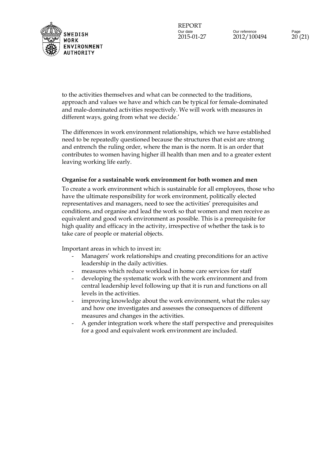

Our reference Page 2015-01-27 2012/100494 20 (21)

to the activities themselves and what can be connected to the traditions, approach and values we have and which can be typical for female-dominated and male-dominated activities respectively. We will work with measures in different ways, going from what we decide.'

The differences in work environment relationships, which we have established need to be repeatedly questioned because the structures that exist are strong and entrench the ruling order, where the man is the norm. It is an order that contributes to women having higher ill health than men and to a greater extent leaving working life early.

#### **Organise for a sustainable work environment for both women and men**

To create a work environment which is sustainable for all employees, those who have the ultimate responsibility for work environment, politically elected representatives and managers, need to see the activities' prerequisites and conditions, and organise and lead the work so that women and men receive as equivalent and good work environment as possible. This is a prerequisite for high quality and efficacy in the activity, irrespective of whether the task is to take care of people or material objects.

Important areas in which to invest in:

- Managers' work relationships and creating preconditions for an active leadership in the daily activities.
- measures which reduce workload in home care services for staff
- developing the systematic work with the work environment and from central leadership level following up that it is run and functions on all levels in the activities.
- improving knowledge about the work environment, what the rules say and how one investigates and assesses the consequences of different measures and changes in the activities.
- A gender integration work where the staff perspective and prerequisites for a good and equivalent work environment are included.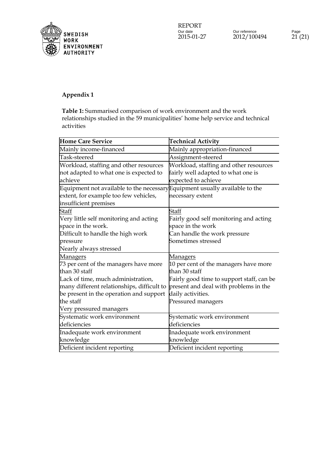

## **Appendix 1**

**Table 1:** Summarised comparison of work environment and the work rationships studied in the 59 municipalities' home help service and technical activities

| <b>Home Care Service</b>                                                    | <b>Technical Activity</b>                 |
|-----------------------------------------------------------------------------|-------------------------------------------|
| Mainly income-financed                                                      | Mainly appropriation-financed             |
| Task-steered                                                                | Assignment-steered                        |
| Workload, staffing and other resources                                      | Workload, staffing and other resources    |
| not adapted to what one is expected to                                      | fairly well adapted to what one is        |
| achieve                                                                     | expected to achieve                       |
| Equipment not available to the necessary Equipment usually available to the |                                           |
| extent, for example too few vehicles,                                       | necessary extent                          |
| insufficient premises                                                       |                                           |
| Staff                                                                       | Staff                                     |
| Very little self monitoring and acting                                      | Fairly good self monitoring and acting    |
| space in the work.                                                          | space in the work                         |
| Difficult to handle the high work                                           | Can handle the work pressure              |
| pressure                                                                    | Sometimes stressed                        |
| Nearly always stressed                                                      |                                           |
| Managers                                                                    | <u>Managers</u>                           |
| 73 per cent of the managers have more                                       | 10 per cent of the managers have more     |
| than 30 staff                                                               | than 30 staff                             |
| Lack of time, much administration,                                          | Fairly good time to support staff, can be |
| many different relationships, difficult to                                  | present and deal with problems in the     |
| be present in the operation and support                                     | daily activities.                         |
| the staff                                                                   | Pressured managers                        |
| Very pressured managers                                                     |                                           |
| Systematic work environment                                                 | Systematic work environment               |
| deficiencies                                                                | deficiencies                              |
| Inadequate work environment                                                 | Inadequate work environment               |
| knowledge                                                                   | knowledge                                 |
| Deficient incident reporting                                                | Deficient incident reporting              |